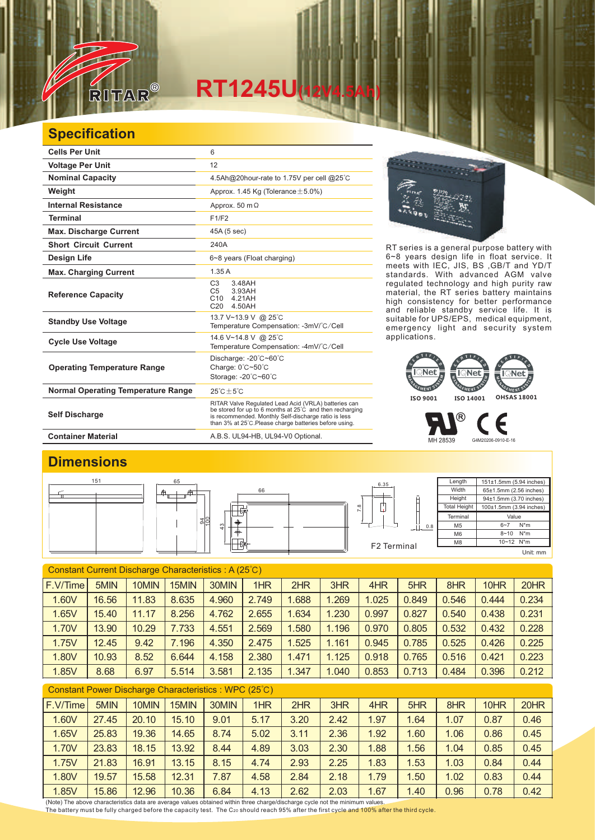

## **RT1245U(12V4.5Ah)**

## **Specification**

| <b>Cells Per Unit</b>                     | 6                                                                                                                                                                                                                                            |
|-------------------------------------------|----------------------------------------------------------------------------------------------------------------------------------------------------------------------------------------------------------------------------------------------|
| <b>Voltage Per Unit</b>                   | 12                                                                                                                                                                                                                                           |
| <b>Nominal Capacity</b>                   | 4.5Ah@20hour-rate to 1.75V per cell @25°C                                                                                                                                                                                                    |
| Weight                                    | Approx. 1.45 Kg (Tolerance $\pm$ 5.0%)                                                                                                                                                                                                       |
| <b>Internal Resistance</b>                | Approx. 50 $m\Omega$                                                                                                                                                                                                                         |
| <b>Terminal</b>                           | F1/F2                                                                                                                                                                                                                                        |
| <b>Max. Discharge Current</b>             | 45A (5 sec)                                                                                                                                                                                                                                  |
| <b>Short Circuit Current</b>              | 240A                                                                                                                                                                                                                                         |
| Design Life                               | 6~8 years (Float charging)                                                                                                                                                                                                                   |
| <b>Max. Charging Current</b>              | 1.35A                                                                                                                                                                                                                                        |
| <b>Reference Capacity</b>                 | C <sub>3</sub><br>3.48AH<br>C <sub>5</sub><br>3.93AH<br>4.21AH<br>C <sub>10</sub><br>C <sub>20</sub><br>4.50AH                                                                                                                               |
| <b>Standby Use Voltage</b>                | 13.7 V~13.9 V @ 25°C<br>Temperature Compensation: -3mV/°C/Cell                                                                                                                                                                               |
| <b>Cycle Use Voltage</b>                  | 14.6 V~14.8 V @ 25°C<br>Temperature Compensation: -4mV/°C/Cell                                                                                                                                                                               |
| <b>Operating Temperature Range</b>        | Discharge: $-20^{\circ}$ C $-60^{\circ}$ C<br>Charge: 0°C~50°C<br>Storage: -20°C~60°C                                                                                                                                                        |
| <b>Normal Operating Temperature Range</b> | $25^{\circ}$ C + 5 $^{\circ}$ C                                                                                                                                                                                                              |
| <b>Self Discharge</b>                     | RITAR Valve Regulated Lead Acid (VRLA) batteries can<br>be stored for up to 6 months at $25^{\circ}$ C and then recharging<br>is recommended. Monthly Self-discharge ratio is less<br>than 3% at 25°C. Please charge batteries before using. |

RT series is a general purpose battery with 6~8 years design life in float service. It meets with IEC, JIS, BS ,GB/T and YD/T standards. With advanced AGM valve regulated technology and high purity raw material, the RT series battery maintains high consistency for better performance and reliable standby service life. It is suitable for UPS/EPS, medical equipment, emergency light and security system applications.



MH 28539 G4M20206-0910-E-16

Є

®

Container Material **Container Material** A.B.S. UL94-HB, UL94-V0 Optional.

## **Dimensions**



| Constant Current Discharge Characteristics: A (25°C) |       |       |       |       |       |       |       |       |       |       |       |       |
|------------------------------------------------------|-------|-------|-------|-------|-------|-------|-------|-------|-------|-------|-------|-------|
| F.V/Time                                             | 5MIN  | 10MIN | 15MIN | 30MIN | 1HR   | 2HR   | 3HR   | 4HR   | 5HR   | 8HR   | 10HR  | 20HR  |
| 1.60V                                                | 16.56 | 11.83 | 8.635 | 4.960 | 2.749 | 1.688 | 1.269 | 1.025 | 0.849 | 0.546 | 0.444 | 0.234 |
| 1.65V                                                | 15.40 | 11.17 | 8.256 | 4.762 | 2.655 | 1.634 | 1.230 | 0.997 | 0.827 | 0.540 | 0.438 | 0.231 |
| 1.70V                                                | 13.90 | 10.29 | 7.733 | 4.551 | 2.569 | 1.580 | 1.196 | 0.970 | 0.805 | 0.532 | 0.432 | 0.228 |
| 1.75V                                                | 12.45 | 9.42  | 7.196 | 4.350 | 2.475 | 1.525 | 1.161 | 0.945 | 0.785 | 0.525 | 0.426 | 0.225 |
| 1.80V                                                | 10.93 | 8.52  | 6.644 | 4.158 | 2.380 | 1.471 | 1.125 | 0.918 | 0.765 | 0.516 | 0.421 | 0.223 |
| 1.85V                                                | 8.68  | 6.97  | 5.514 | 3.581 | 2.135 | 1.347 | 1.040 | 0.853 | 0.713 | 0.484 | 0.396 | 0.212 |
| Constant Power Discharge Characteristics: WPC (25°C) |       |       |       |       |       |       |       |       |       |       |       |       |
| F.V/Time                                             | 5MIN  | 10MIN | 15MIN | 30MIN | 1HR   | 2HR   | 3HR   | 4HR   | 5HR   | 8HR   | 10HR  | 20HR  |
| 1.60V                                                | 27.45 | 20.10 | 15.10 | 9.01  | 5.17  | 3.20  | 2.42  | 1.97  | 1.64  | 1.07  | 0.87  | 0.46  |
| 1.65V                                                | 25.83 | 19.36 | 14.65 | 8.74  | 5.02  | 3.11  | 2.36  | 1.92  | 1.60  | 1.06  | 0.86  | 0.45  |

1.70V | 23.83 | 18.15 | 13.92 | 8.44 | 4.89 | 3.03 | 2.30 | 1.88 | 1.56 | 1.04 | 0.85 | 0.45 1.75V | 21.83 | 16.91 | 13.15 | 8.15 | 4.74 | 2.93 | 2.25 | 1.83 | 1.53 | 1.03 | 0.84 | 0.44 1.80V 19.57 15.58 12.31 7.87 4.58 2.84 2.18 1.79 1.50 1.02 0.83 0.44 1.85V 15.86 12.96 10.36 6.84 4.13 2.62 2.03 1.67 1.40 0.96 0.78 0.42

(Note) The above characteristics data are average values obtained within three charge/discharge cycle not the minimum values.<br><u>T</u>he battery must be fully charged before the capacity test. The C20 should reach 95% after th